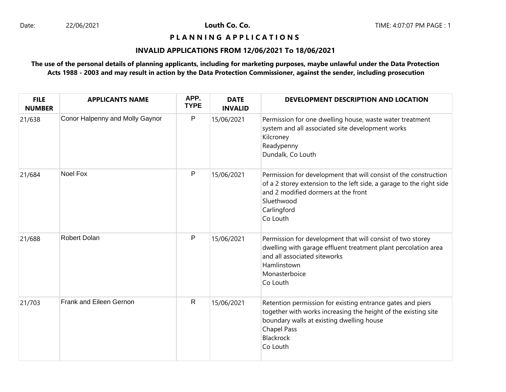Date: 22/06/2021 22/06/2021 **Louth Co. Co.** 2014 22/06/2021 22/06/2021 22/06/2021

Louth Co. Co.

# **P L A N N I N G A P P L I C A T I O N S**

## **INVALID APPLICATIONS FROM 12/06/2021 To 18/06/2021**

# **The use of the personal details of planning applicants, including for marketing purposes, maybe unlawful under the Data Protection Acts 1988 - 2003 and may result in action by the Data Protection Commissioner, against the sender, including prosecution**

| <b>FILE</b><br><b>NUMBER</b> | <b>APPLICANTS NAME</b>          | APP.<br><b>TYPE</b> | <b>DATE</b><br><b>INVALID</b> | DEVELOPMENT DESCRIPTION AND LOCATION                                                                                                                                                                                     |
|------------------------------|---------------------------------|---------------------|-------------------------------|--------------------------------------------------------------------------------------------------------------------------------------------------------------------------------------------------------------------------|
| 21/638                       | Conor Halpenny and Molly Gaynor | P                   | 15/06/2021                    | Permission for one dwelling house, waste water treatment<br>system and all associated site development works<br>Kilcroney<br>Readypenny<br>Dundalk, Co Louth                                                             |
| 21/684                       | Noel Fox                        | P                   | 15/06/2021                    | Permission for development that will consist of the construction<br>of a 2 storey extension to the left side, a garage to the right side<br>and 2 modified dormers at the front<br>Sluethwood<br>Carlingford<br>Co Louth |
| 21/688                       | <b>Robert Dolan</b>             | $\mathsf{P}$        | 15/06/2021                    | Permission for development that will consist of two storey<br>dwelling with garage effluent treatment plant percolation area<br>and all associated siteworks<br>Hamlinstown<br>Monasterboice<br>Co Louth                 |
| 21/703                       | Frank and Eileen Gernon         | R                   | 15/06/2021                    | Retention permission for existing entrance gates and piers<br>together with works increasing the height of the existing site<br>boundary walls at existing dwelling house<br>Chapel Pass<br>Blackrock<br>Co Louth        |